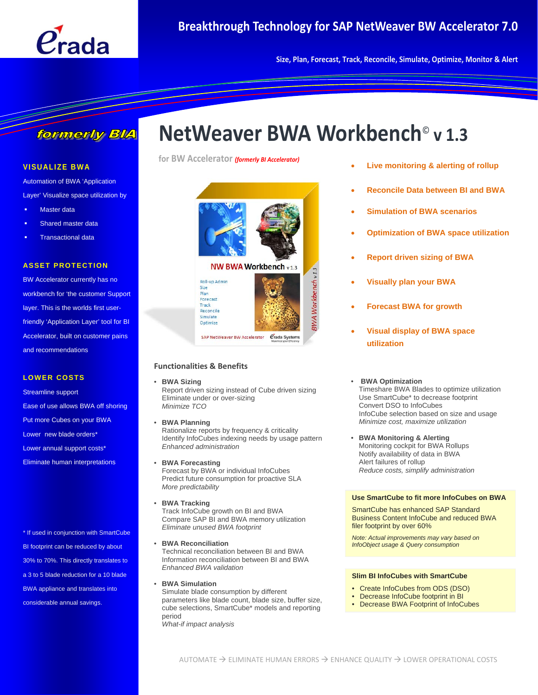

**Size, Plan, Forecast, Track, Reconcile, Simulate, Optimize, Monitor & Alert**

### formerly BlA

#### **VISUALIZE BWA**

Automation of BWA 'Application Layer' Visualize space utilization by

- Master data
- Shared master data
- Transactional data

#### **ASSET PROTECTION**

BW Accelerator currently has no workbench for 'the customer Support layer. This is the worlds first userfriendly 'Application Layer' tool for BI Accelerator, built on customer pains and recommendations

#### **LOWER COSTS**

Streamline support Ease of use allows BWA off shoring Put more Cubes on your BWA Lower new blade orders\* Lower annual support costs\* Eliminate human interpretations

\* If used in conjunction with SmartCube BI footprint can be reduced by about 30% to 70%. This directly translates to a 3 to 5 blade reduction for a 10 blade BWA appliance and translates into considerable annual savings.

# **NetWeaver BWA Workbench**© **v 1.3**

**for BW Accelerator** *(formerly BI Accelerator)*



#### **Functionalities & Benefits**

#### • **BWA Sizing** Report driven sizing instead of Cube driven sizing

 Eliminate under or over-sizing *Minimize TCO*

• **BWA Planning**

 Rationalize reports by frequency & criticality Identify InfoCubes indexing needs by usage pattern *Enhanced administration*

- **BWA Forecasting** Forecast by BWA or individual InfoCubes Predict future consumption for proactive SLA *More predictability*
- **BWA Tracking** Track InfoCube growth on BI and BWA Compare SAP BI and BWA memory utilization *Eliminate unused BWA footprint*
- **BWA Reconciliation**  Technical reconciliation between BI and BWA Information reconciliation between BI and BWA *Enhanced BWA validation*
- **BWA Simulation** Simulate blade consumption by different parameters like blade count, blade size, buffer size, cube selections, SmartCube\* models and reporting period *What-if impact analysis*
- **Live monitoring & alerting of rollup**
- **Reconcile Data between BI and BWA**
- **Simulation of BWA scenarios**
- **Optimization of BWA space utilization**
- **Report driven sizing of BWA**
- **Visually plan your BWA**
- **Forecast BWA for growth**
- **Visual display of BWA space utilization**

#### • **BWA Optimization**

Timeshare BWA Blades to optimize utilization Use SmartCube\* to decrease footprint Convert DSO to InfoCubes InfoCube selection based on size and usage *Minimize cost, maximize utilization* 

• **BWA Monitoring & Alerting**  Monitoring cockpit for BWA Rollups Notify availability of data in BWA Alert failures of rollup *Reduce costs, simplify administration* 

#### **Use SmartCube to fit more InfoCubes on BWA**

SmartCube has enhanced SAP Standard Business Content InfoCube and reduced BWA filer footprint by over 60%

*Note: Actual improvements may vary based on InfoObject usage & Query consumption* 

#### **Slim BI InfoCubes with SmartCube**

- Create InfoCubes from ODS (DSO)
- Decrease InfoCube footprint in BI
- Decrease BWA Footprint of InfoCubes